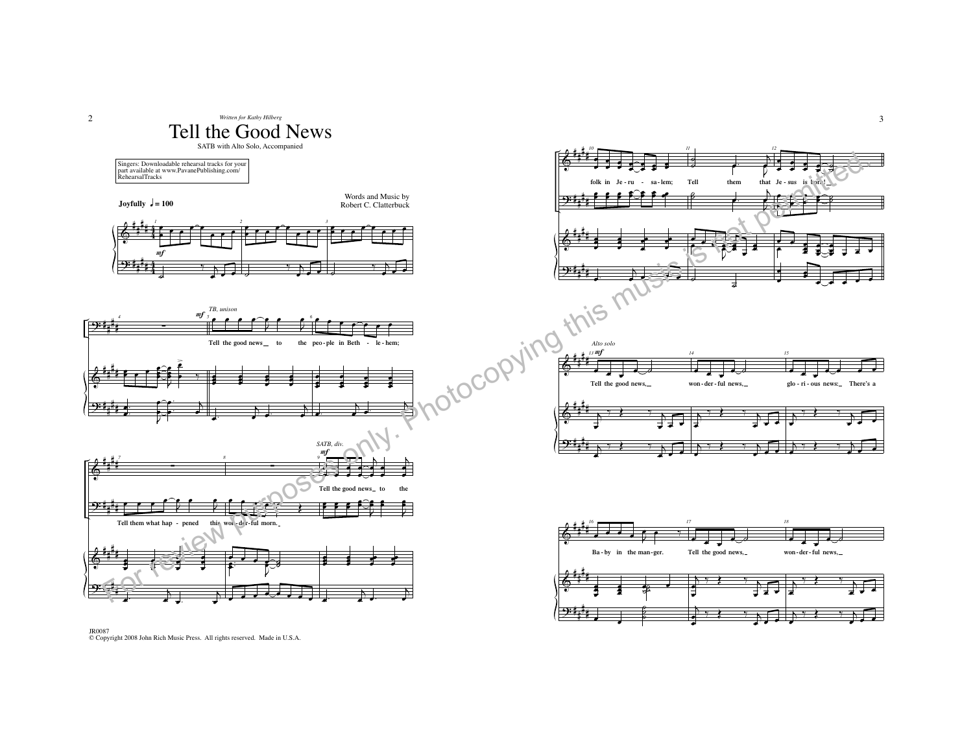

œœ ˙

œœ

œ<sup>œ</sup> <sup>œ</sup> œ

œ. . .



2

3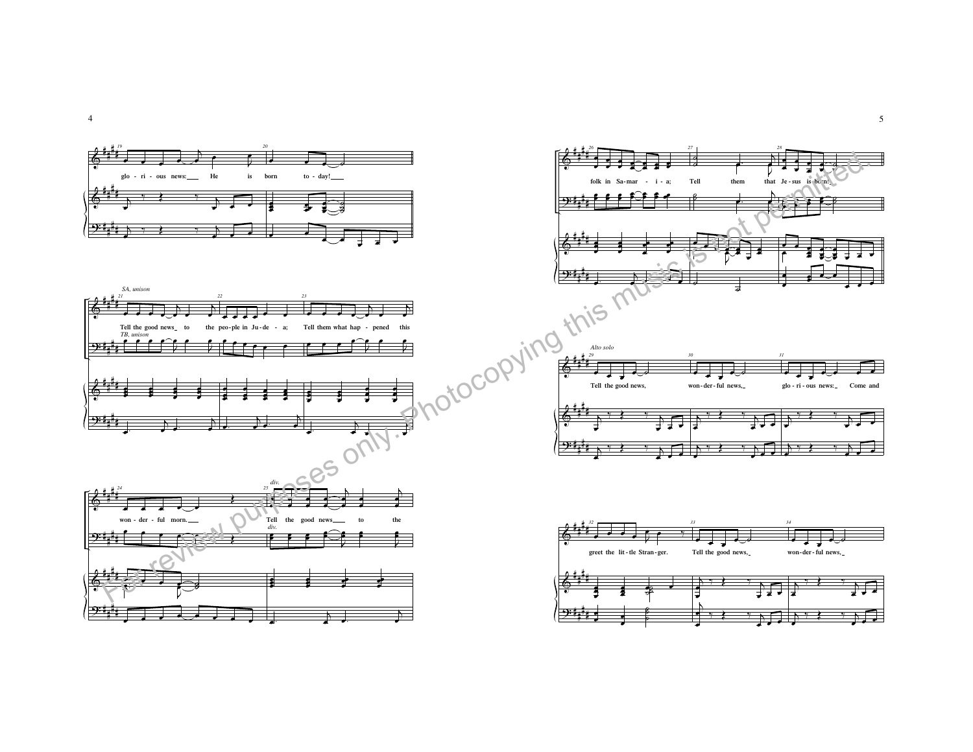

 $\overline{4}$ 

 $\overline{5}$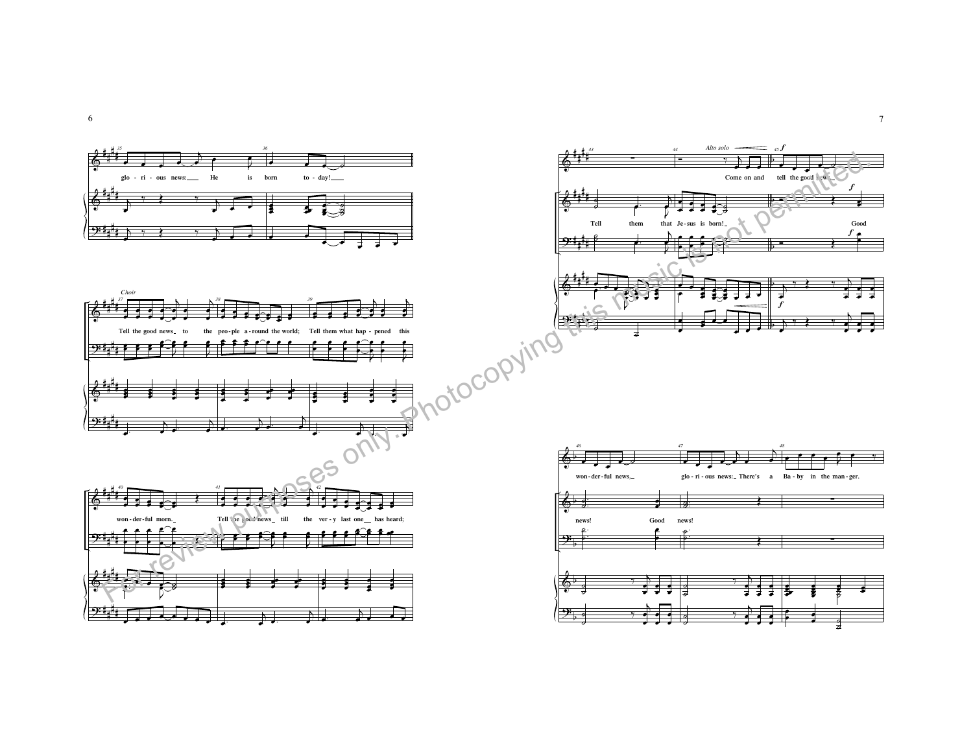

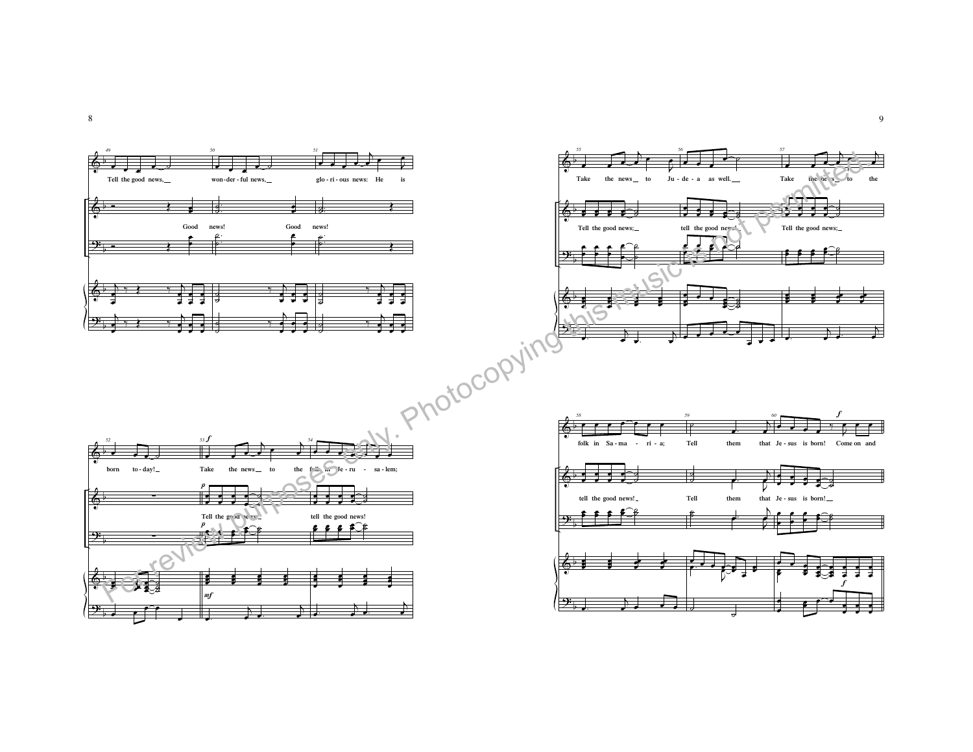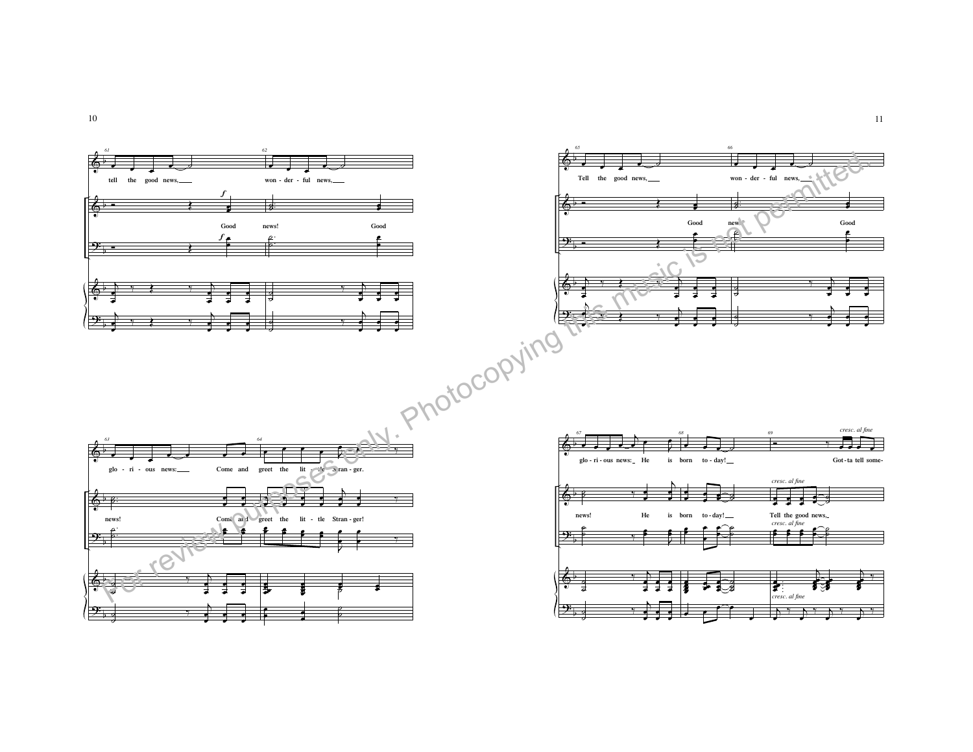

10

11